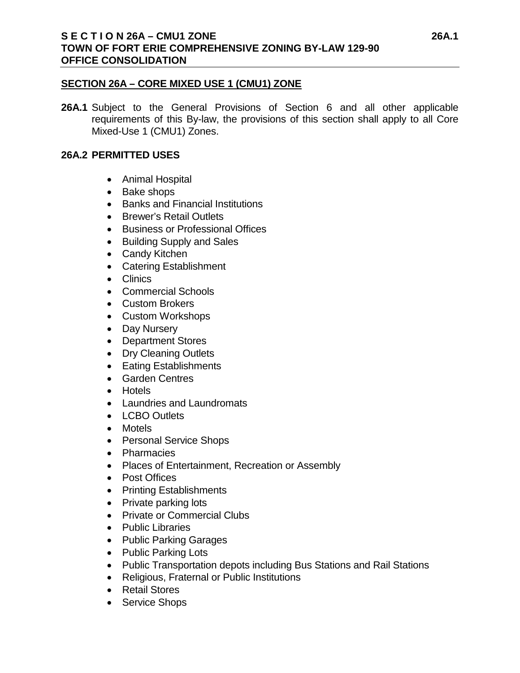## **SECTION 26A – CORE MIXED USE 1 (CMU1) ZONE**

**26A.1** Subject to the General Provisions of Section 6 and all other applicable requirements of this By-law, the provisions of this section shall apply to all Core Mixed-Use 1 (CMU1) Zones.

# **26A.2 PERMITTED USES**

- Animal Hospital
- Bake shops
- Banks and Financial Institutions
- Brewer's Retail Outlets
- Business or Professional Offices
- Building Supply and Sales
- Candy Kitchen
- Catering Establishment
- Clinics
- Commercial Schools
- Custom Brokers
- Custom Workshops
- Day Nursery
- Department Stores
- Dry Cleaning Outlets
- Eating Establishments
- Garden Centres
- Hotels
- Laundries and Laundromats
- LCBO Outlets
- Motels
- Personal Service Shops
- Pharmacies
- Places of Entertainment, Recreation or Assembly
- Post Offices
- Printing Establishments
- Private parking lots
- Private or Commercial Clubs
- Public Libraries
- Public Parking Garages
- Public Parking Lots
- Public Transportation depots including Bus Stations and Rail Stations
- Religious, Fraternal or Public Institutions
- Retail Stores
- Service Shops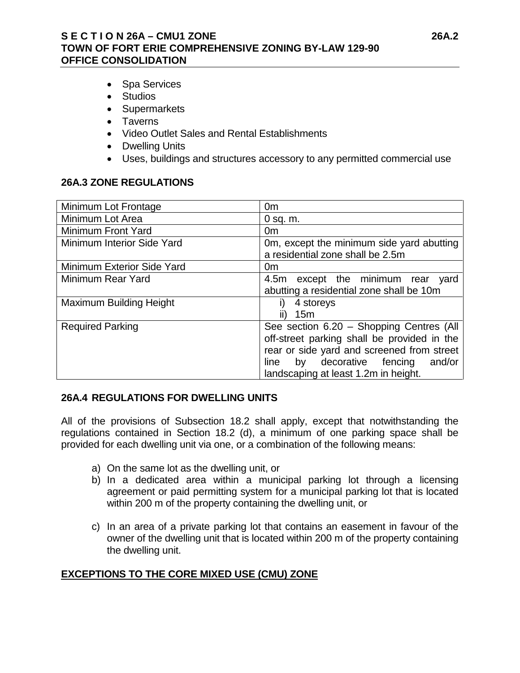## **S E C T I O N 26A – CMU1 ZONE 26A.2 TOWN OF FORT ERIE COMPREHENSIVE ZONING BY-LAW 129-90 OFFICE CONSOLIDATION**

- Spa Services
- Studios
- Supermarkets
- Taverns
- Video Outlet Sales and Rental Establishments
- Dwelling Units
- Uses, buildings and structures accessory to any permitted commercial use

#### **26A.3 ZONE REGULATIONS**

| Minimum Lot Frontage           | 0 <sub>m</sub>                                                                |
|--------------------------------|-------------------------------------------------------------------------------|
| Minimum Lot Area               | $0$ sq. m.                                                                    |
| Minimum Front Yard             | 0 <sub>m</sub>                                                                |
| Minimum Interior Side Yard     | Om, except the minimum side yard abutting<br>a residential zone shall be 2.5m |
| Minimum Exterior Side Yard     | 0 <sub>m</sub>                                                                |
| Minimum Rear Yard              | 4.5m except the minimum rear yard                                             |
|                                | abutting a residential zone shall be 10m                                      |
| <b>Maximum Building Height</b> | 4 storeys<br>I)                                                               |
|                                | 15m                                                                           |
| <b>Required Parking</b>        | See section 6.20 - Shopping Centres (All                                      |
|                                | off-street parking shall be provided in the                                   |
|                                | rear or side yard and screened from street                                    |
|                                | by decorative fencing<br>and/or<br>line                                       |
|                                | landscaping at least 1.2m in height.                                          |

### **26A.4 REGULATIONS FOR DWELLING UNITS**

All of the provisions of Subsection 18.2 shall apply, except that notwithstanding the regulations contained in Section 18.2 (d), a minimum of one parking space shall be provided for each dwelling unit via one, or a combination of the following means:

- a) On the same lot as the dwelling unit, or
- b) In a dedicated area within a municipal parking lot through a licensing agreement or paid permitting system for a municipal parking lot that is located within 200 m of the property containing the dwelling unit, or
- c) In an area of a private parking lot that contains an easement in favour of the owner of the dwelling unit that is located within 200 m of the property containing the dwelling unit.

### **EXCEPTIONS TO THE CORE MIXED USE (CMU) ZONE**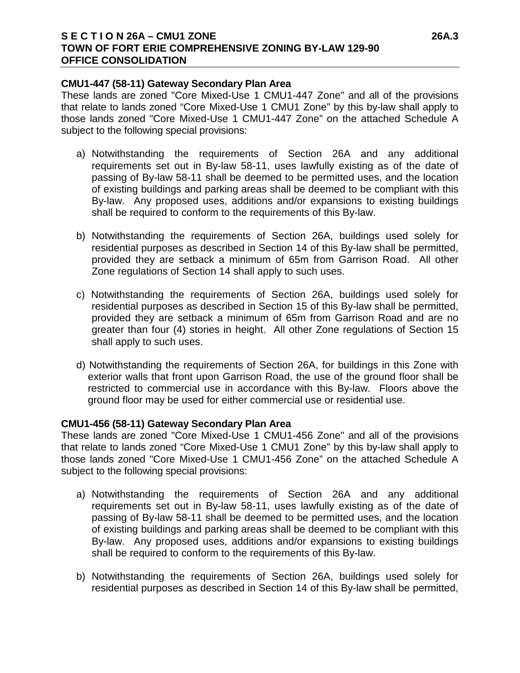### **S E C T I O N 26A – CMU1 ZONE 26A.3 TOWN OF FORT ERIE COMPREHENSIVE ZONING BY-LAW 129-90 OFFICE CONSOLIDATION**

#### **CMU1-447 (58-11) Gateway Secondary Plan Area**

These lands are zoned "Core Mixed-Use 1 CMU1-447 Zone" and all of the provisions that relate to lands zoned "Core Mixed-Use 1 CMU1 Zone" by this by-law shall apply to those lands zoned "Core Mixed-Use 1 CMU1-447 Zone" on the attached Schedule A subject to the following special provisions:

- a) Notwithstanding the requirements of Section 26A and any additional requirements set out in By-law 58-11, uses lawfully existing as of the date of passing of By-law 58-11 shall be deemed to be permitted uses, and the location of existing buildings and parking areas shall be deemed to be compliant with this By-law. Any proposed uses, additions and/or expansions to existing buildings shall be required to conform to the requirements of this By-law.
- b) Notwithstanding the requirements of Section 26A, buildings used solely for residential purposes as described in Section 14 of this By-law shall be permitted, provided they are setback a minimum of 65m from Garrison Road. All other Zone regulations of Section 14 shall apply to such uses.
- c) Notwithstanding the requirements of Section 26A, buildings used solely for residential purposes as described in Section 15 of this By-law shall be permitted, provided they are setback a minimum of 65m from Garrison Road and are no greater than four (4) stories in height. All other Zone regulations of Section 15 shall apply to such uses.
- d) Notwithstanding the requirements of Section 26A, for buildings in this Zone with exterior walls that front upon Garrison Road, the use of the ground floor shall be restricted to commercial use in accordance with this By-law. Floors above the ground floor may be used for either commercial use or residential use.

### **CMU1-456 (58-11) Gateway Secondary Plan Area**

These lands are zoned "Core Mixed-Use 1 CMU1-456 Zone" and all of the provisions that relate to lands zoned "Core Mixed-Use 1 CMU1 Zone" by this by-law shall apply to those lands zoned "Core Mixed-Use 1 CMU1-456 Zone" on the attached Schedule A subject to the following special provisions:

- a) Notwithstanding the requirements of Section 26A and any additional requirements set out in By-law 58-11, uses lawfully existing as of the date of passing of By-law 58-11 shall be deemed to be permitted uses, and the location of existing buildings and parking areas shall be deemed to be compliant with this By-law. Any proposed uses, additions and/or expansions to existing buildings shall be required to conform to the requirements of this By-law.
- b) Notwithstanding the requirements of Section 26A, buildings used solely for residential purposes as described in Section 14 of this By-law shall be permitted,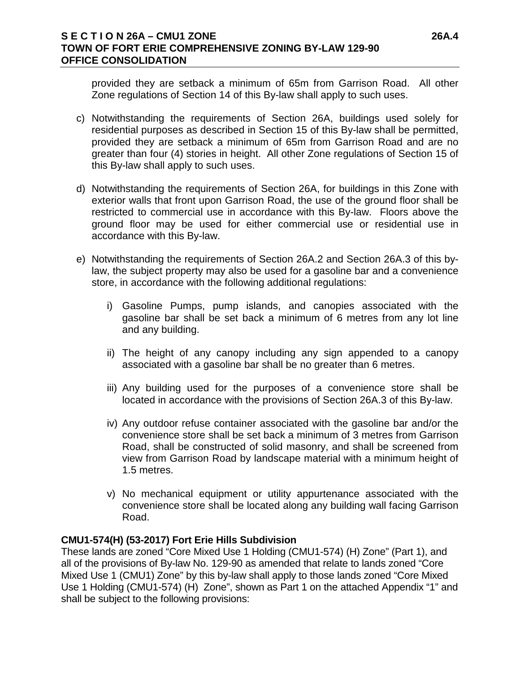### **S E C T I O N 26A – CMU1 ZONE 26A.4 TOWN OF FORT ERIE COMPREHENSIVE ZONING BY-LAW 129-90 OFFICE CONSOLIDATION**

provided they are setback a minimum of 65m from Garrison Road. All other Zone regulations of Section 14 of this By-law shall apply to such uses.

- c) Notwithstanding the requirements of Section 26A, buildings used solely for residential purposes as described in Section 15 of this By-law shall be permitted, provided they are setback a minimum of 65m from Garrison Road and are no greater than four (4) stories in height. All other Zone regulations of Section 15 of this By-law shall apply to such uses.
- d) Notwithstanding the requirements of Section 26A, for buildings in this Zone with exterior walls that front upon Garrison Road, the use of the ground floor shall be restricted to commercial use in accordance with this By-law. Floors above the ground floor may be used for either commercial use or residential use in accordance with this By-law.
- e) Notwithstanding the requirements of Section 26A.2 and Section 26A.3 of this bylaw, the subject property may also be used for a gasoline bar and a convenience store, in accordance with the following additional regulations:
	- i) Gasoline Pumps, pump islands, and canopies associated with the gasoline bar shall be set back a minimum of 6 metres from any lot line and any building.
	- ii) The height of any canopy including any sign appended to a canopy associated with a gasoline bar shall be no greater than 6 metres.
	- iii) Any building used for the purposes of a convenience store shall be located in accordance with the provisions of Section 26A.3 of this By-law.
	- iv) Any outdoor refuse container associated with the gasoline bar and/or the convenience store shall be set back a minimum of 3 metres from Garrison Road, shall be constructed of solid masonry, and shall be screened from view from Garrison Road by landscape material with a minimum height of 1.5 metres.
	- v) No mechanical equipment or utility appurtenance associated with the convenience store shall be located along any building wall facing Garrison Road.

### **CMU1-574(H) (53-2017) Fort Erie Hills Subdivision**

These lands are zoned "Core Mixed Use 1 Holding (CMU1-574) (H) Zone" (Part 1), and all of the provisions of By-law No. 129-90 as amended that relate to lands zoned "Core Mixed Use 1 (CMU1) Zone" by this by-law shall apply to those lands zoned "Core Mixed Use 1 Holding (CMU1-574) (H) Zone", shown as Part 1 on the attached Appendix "1" and shall be subject to the following provisions: